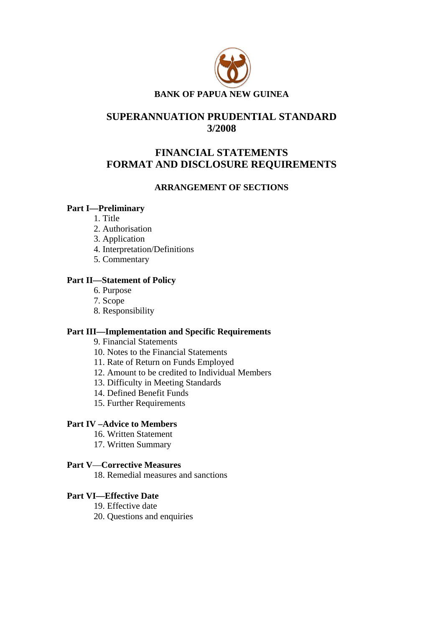

# **SUPERANNUATION PRUDENTIAL STANDARD 3/2008**

# **FINANCIAL STATEMENTS FORMAT AND DISCLOSURE REQUIREMENTS**

## **ARRANGEMENT OF SECTIONS**

## **Part I—Preliminary**

- 1. Title
- 2. Authorisation
- 3. Application
- 4. Interpretation/Definitions
- 5. Commentary

## **Part II—Statement of Policy**

- 6. Purpose
- 7. Scope
- 8. Responsibility

## **Part III—Implementation and Specific Requirements**

9. Financial Statements

- 10. Notes to the Financial Statements
- 11. Rate of Return on Funds Employed
- 12. Amount to be credited to Individual Members
- 13. Difficulty in Meeting Standards
- 14. Defined Benefit Funds
- 15. Further Requirements

### **Part IV –Advice to Members**

- 16. Written Statement
- 17. Written Summary

## **Part V**—**Corrective Measures**

18. Remedial measures and sanctions

### **Part VI—Effective Date**

- 19. Effective date
- 20. Questions and enquiries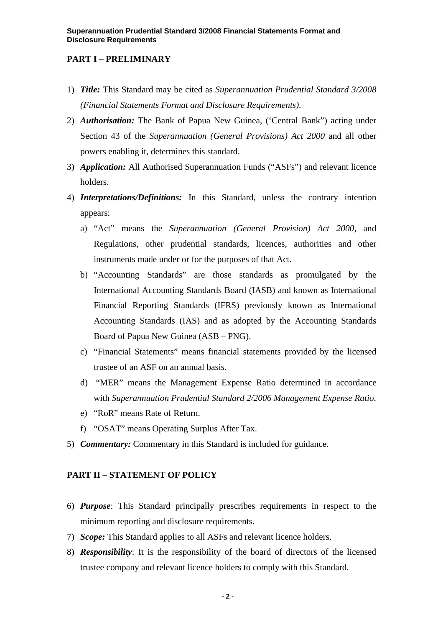## **PART I – PRELIMINARY**

- 1) *Title:* This Standard may be cited as *Superannuation Prudential Standard 3/2008 (Financial Statements Format and Disclosure Requirements)*.
- 2) *Authorisation:* The Bank of Papua New Guinea, ('Central Bank") acting under Section 43 of the *Superannuation (General Provisions) Act 2000* and all other powers enabling it, determines this standard.
- 3) *Application:* All Authorised Superannuation Funds ("ASFs") and relevant licence holders.
- 4) *Interpretations/Definitions:* In this Standard, unless the contrary intention appears:
	- a) "Act" means the *Superannuation (General Provision) Act 2000*, and Regulations, other prudential standards, licences, authorities and other instruments made under or for the purposes of that Act.
	- b) "Accounting Standards" are those standards as promulgated by the International Accounting Standards Board (IASB) and known as International Financial Reporting Standards (IFRS) previously known as International Accounting Standards (IAS) and as adopted by the Accounting Standards Board of Papua New Guinea (ASB – PNG).
	- c) "Financial Statements" means financial statements provided by the licensed trustee of an ASF on an annual basis.
	- d) "MER" means the Management Expense Ratio determined in accordance with *Superannuation Prudential Standard 2/2006 Management Expense Ratio*.
	- e) "RoR" means Rate of Return.
	- f) "OSAT" means Operating Surplus After Tax.
- 5) *Commentary:* Commentary in this Standard is included for guidance.

### **PART II – STATEMENT OF POLICY**

- 6) *Purpose*: This Standard principally prescribes requirements in respect to the minimum reporting and disclosure requirements.
- 7) *Scope:* This Standard applies to all ASFs and relevant licence holders.
- 8) *Responsibility*: It is the responsibility of the board of directors of the licensed trustee company and relevant licence holders to comply with this Standard.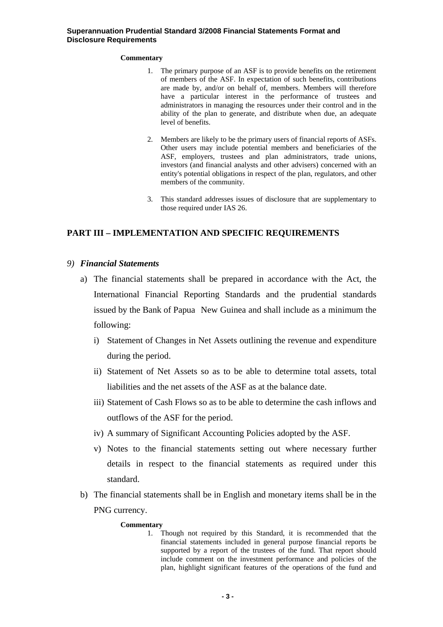#### **Commentary**

- 1. The primary purpose of an ASF is to provide benefits on the retirement of members of the ASF. In expectation of such benefits, contributions are made by, and/or on behalf of, members. Members will therefore have a particular interest in the performance of trustees and administrators in managing the resources under their control and in the ability of the plan to generate, and distribute when due, an adequate level of benefits.
- 2. Members are likely to be the primary users of financial reports of ASFs. Other users may include potential members and beneficiaries of the ASF, employers, trustees and plan administrators, trade unions, investors (and financial analysts and other advisers) concerned with an entity's potential obligations in respect of the plan, regulators, and other members of the community.
- 3. This standard addresses issues of disclosure that are supplementary to those required under IAS 26.

## **PART III – IMPLEMENTATION AND SPECIFIC REQUIREMENTS**

### *9) Financial Statements*

- a) The financial statements shall be prepared in accordance with the Act, the International Financial Reporting Standards and the prudential standards issued by the Bank of Papua New Guinea and shall include as a minimum the following:
	- i) Statement of Changes in Net Assets outlining the revenue and expenditure during the period.
	- ii) Statement of Net Assets so as to be able to determine total assets, total liabilities and the net assets of the ASF as at the balance date.
	- iii) Statement of Cash Flows so as to be able to determine the cash inflows and outflows of the ASF for the period.
	- iv) A summary of Significant Accounting Policies adopted by the ASF.
	- v) Notes to the financial statements setting out where necessary further details in respect to the financial statements as required under this standard.
- b) The financial statements shall be in English and monetary items shall be in the PNG currency.

#### **Commentary**

1. Though not required by this Standard, it is recommended that the financial statements included in general purpose financial reports be supported by a report of the trustees of the fund. That report should include comment on the investment performance and policies of the plan, highlight significant features of the operations of the fund and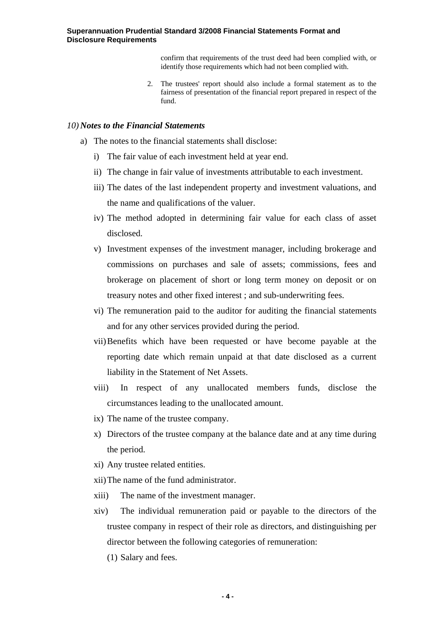confirm that requirements of the trust deed had been complied with, or identify those requirements which had not been complied with.

2. The trustees' report should also include a formal statement as to the fairness of presentation of the financial report prepared in respect of the fund.

#### *10) Notes to the Financial Statements*

- a) The notes to the financial statements shall disclose:
	- i) The fair value of each investment held at year end.
	- ii) The change in fair value of investments attributable to each investment.
	- iii) The dates of the last independent property and investment valuations, and the name and qualifications of the valuer.
	- iv) The method adopted in determining fair value for each class of asset disclosed.
	- v) Investment expenses of the investment manager, including brokerage and commissions on purchases and sale of assets; commissions, fees and brokerage on placement of short or long term money on deposit or on treasury notes and other fixed interest ; and sub-underwriting fees.
	- vi) The remuneration paid to the auditor for auditing the financial statements and for any other services provided during the period.
	- vii)Benefits which have been requested or have become payable at the reporting date which remain unpaid at that date disclosed as a current liability in the Statement of Net Assets.
	- viii) In respect of any unallocated members funds, disclose the circumstances leading to the unallocated amount.
	- ix) The name of the trustee company.
	- x) Directors of the trustee company at the balance date and at any time during the period.
	- xi) Any trustee related entities.
	- xii)The name of the fund administrator.
	- xiii) The name of the investment manager.
	- xiv) The individual remuneration paid or payable to the directors of the trustee company in respect of their role as directors, and distinguishing per director between the following categories of remuneration:
		- (1) Salary and fees.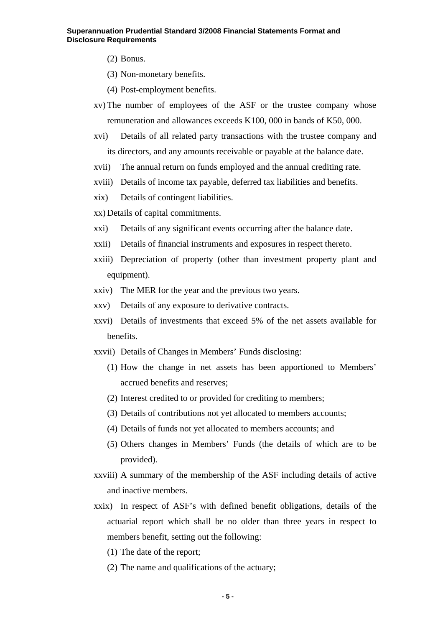- (2) Bonus.
- (3) Non-monetary benefits.
- (4) Post-employment benefits.
- xv) The number of employees of the ASF or the trustee company whose remuneration and allowances exceeds K100, 000 in bands of K50, 000.
- xvi) Details of all related party transactions with the trustee company and its directors, and any amounts receivable or payable at the balance date.
- xvii) The annual return on funds employed and the annual crediting rate.
- xviii) Details of income tax payable, deferred tax liabilities and benefits.
- xix) Details of contingent liabilities.
- xx) Details of capital commitments.
- xxi) Details of any significant events occurring after the balance date.
- xxii) Details of financial instruments and exposures in respect thereto.
- xxiii) Depreciation of property (other than investment property plant and equipment).
- xxiv) The MER for the year and the previous two years.
- xxv) Details of any exposure to derivative contracts.
- xxvi) Details of investments that exceed 5% of the net assets available for benefits.
- xxvii) Details of Changes in Members' Funds disclosing:
	- (1) How the change in net assets has been apportioned to Members' accrued benefits and reserves;
	- (2) Interest credited to or provided for crediting to members;
	- (3) Details of contributions not yet allocated to members accounts;
	- (4) Details of funds not yet allocated to members accounts; and
	- (5) Others changes in Members' Funds (the details of which are to be provided).
- xxviii) A summary of the membership of the ASF including details of active and inactive members.
- xxix) In respect of ASF's with defined benefit obligations, details of the actuarial report which shall be no older than three years in respect to members benefit, setting out the following:
	- (1) The date of the report;
	- (2) The name and qualifications of the actuary;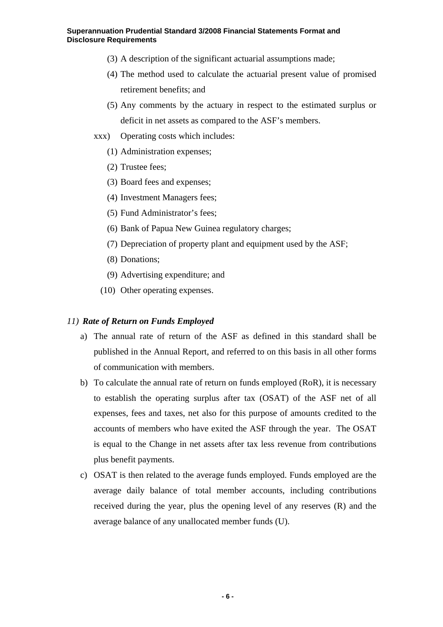- (3) A description of the significant actuarial assumptions made;
- (4) The method used to calculate the actuarial present value of promised retirement benefits; and
- (5) Any comments by the actuary in respect to the estimated surplus or deficit in net assets as compared to the ASF's members.
- xxx) Operating costs which includes:
	- (1) Administration expenses;
	- (2) Trustee fees;
	- (3) Board fees and expenses;
	- (4) Investment Managers fees;
	- (5) Fund Administrator's fees;
	- (6) Bank of Papua New Guinea regulatory charges;
	- (7) Depreciation of property plant and equipment used by the ASF;
	- (8) Donations;
	- (9) Advertising expenditure; and
	- (10) Other operating expenses.

### *11) Rate of Return on Funds Employed*

- a) The annual rate of return of the ASF as defined in this standard shall be published in the Annual Report, and referred to on this basis in all other forms of communication with members.
- b) To calculate the annual rate of return on funds employed (RoR), it is necessary to establish the operating surplus after tax (OSAT) of the ASF net of all expenses, fees and taxes, net also for this purpose of amounts credited to the accounts of members who have exited the ASF through the year. The OSAT is equal to the Change in net assets after tax less revenue from contributions plus benefit payments.
- c) OSAT is then related to the average funds employed. Funds employed are the average daily balance of total member accounts, including contributions received during the year, plus the opening level of any reserves (R) and the average balance of any unallocated member funds (U).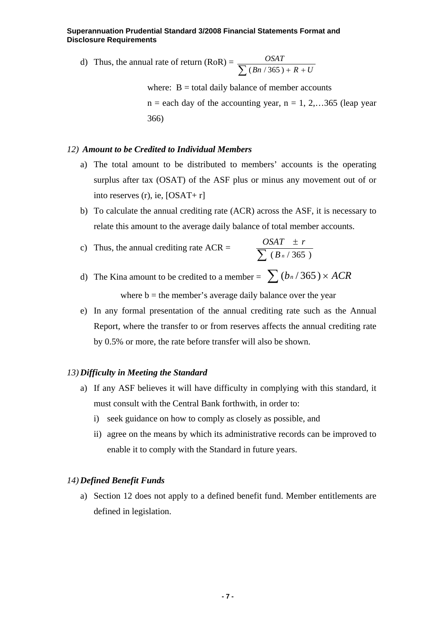d) Thus, the annual rate of return  $(RoR) =$  $\sum$  (*Bn* / 365) +  $R$  + *U OSAT*  $(Bn / 365)$ 

> where:  $B =$  total daily balance of member accounts  $n =$  each day of the accounting year,  $n = 1, 2, \ldots, 365$  (leap year) 366)

### *12) Amount to be Credited to Individual Members*

- a) The total amount to be distributed to members' accounts is the operating surplus after tax (OSAT) of the ASF plus or minus any movement out of or into reserves (r), ie, [OSAT+ r]
- b) To calculate the annual crediting rate (ACR) across the ASF, it is necessary to relate this amount to the average daily balance of total member accounts.
- c) Thus, the annual crediting rate  $ACR =$ ±  $(B_n / 365)$  $OSAT \pm r$
- d) The Kina amount to be credited to a member =  $\sum (b_n/365) \times ACR$ where  $b =$  the member's average daily balance over the year
- e) In any formal presentation of the annual crediting rate such as the Annual Report, where the transfer to or from reserves affects the annual crediting rate by 0.5% or more, the rate before transfer will also be shown.

### *13) Difficulty in Meeting the Standard*

- a) If any ASF believes it will have difficulty in complying with this standard, it must consult with the Central Bank forthwith, in order to:
	- i) seek guidance on how to comply as closely as possible, and
	- ii) agree on the means by which its administrative records can be improved to enable it to comply with the Standard in future years.

### *14) Defined Benefit Funds*

a) Section 12 does not apply to a defined benefit fund. Member entitlements are defined in legislation.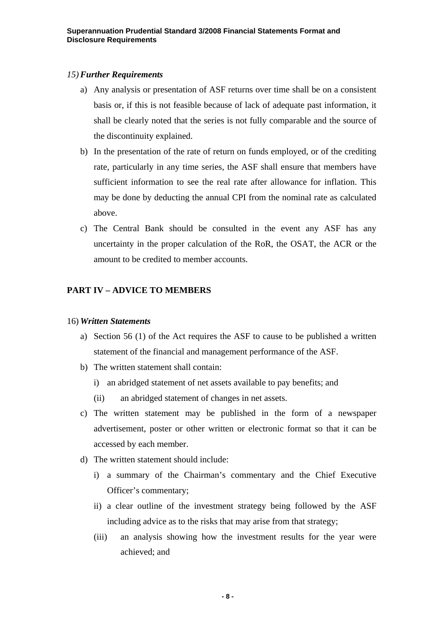### *15)Further Requirements*

- a) Any analysis or presentation of ASF returns over time shall be on a consistent basis or, if this is not feasible because of lack of adequate past information, it shall be clearly noted that the series is not fully comparable and the source of the discontinuity explained.
- b) In the presentation of the rate of return on funds employed, or of the crediting rate, particularly in any time series, the ASF shall ensure that members have sufficient information to see the real rate after allowance for inflation. This may be done by deducting the annual CPI from the nominal rate as calculated above.
- c) The Central Bank should be consulted in the event any ASF has any uncertainty in the proper calculation of the RoR, the OSAT, the ACR or the amount to be credited to member accounts.

## **PART IV – ADVICE TO MEMBERS**

## 16) *Written Statements*

- a) Section 56 (1) of the Act requires the ASF to cause to be published a written statement of the financial and management performance of the ASF.
- b) The written statement shall contain:
	- i) an abridged statement of net assets available to pay benefits; and
	- (ii) an abridged statement of changes in net assets.
- c) The written statement may be published in the form of a newspaper advertisement, poster or other written or electronic format so that it can be accessed by each member.
- d) The written statement should include:
	- i) a summary of the Chairman's commentary and the Chief Executive Officer's commentary;
	- ii) a clear outline of the investment strategy being followed by the ASF including advice as to the risks that may arise from that strategy;
	- (iii) an analysis showing how the investment results for the year were achieved; and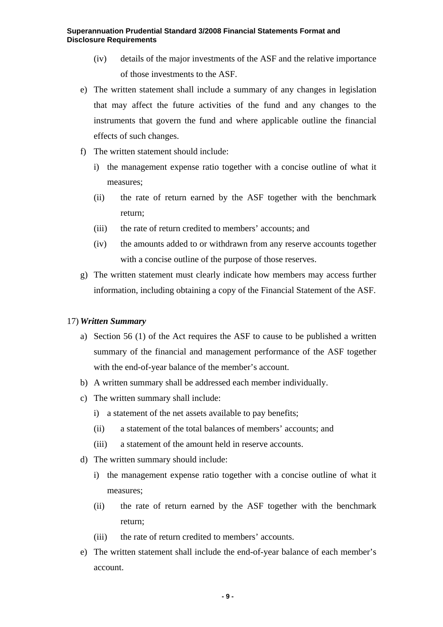- (iv) details of the major investments of the ASF and the relative importance of those investments to the ASF.
- e) The written statement shall include a summary of any changes in legislation that may affect the future activities of the fund and any changes to the instruments that govern the fund and where applicable outline the financial effects of such changes.
- f) The written statement should include:
	- i) the management expense ratio together with a concise outline of what it measures;
	- (ii) the rate of return earned by the ASF together with the benchmark return;
	- (iii) the rate of return credited to members' accounts; and
	- (iv) the amounts added to or withdrawn from any reserve accounts together with a concise outline of the purpose of those reserves.
- g) The written statement must clearly indicate how members may access further information, including obtaining a copy of the Financial Statement of the ASF.

## 17) *Written Summary*

- a) Section 56 (1) of the Act requires the ASF to cause to be published a written summary of the financial and management performance of the ASF together with the end-of-year balance of the member's account.
- b) A written summary shall be addressed each member individually.
- c) The written summary shall include:
	- i) a statement of the net assets available to pay benefits;
	- (ii) a statement of the total balances of members' accounts; and
	- (iii) a statement of the amount held in reserve accounts.
- d) The written summary should include:
	- i) the management expense ratio together with a concise outline of what it measures;
	- (ii) the rate of return earned by the ASF together with the benchmark return;
	- (iii) the rate of return credited to members' accounts.
- e) The written statement shall include the end-of-year balance of each member's account.